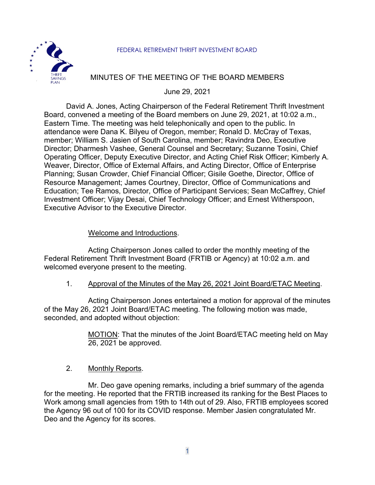#### FEDERAL RETIREMENT THRIFT INVESTMENT BOARD



## MINUTES OF THE MEETING OF THE BOARD MEMBERS

June 29, 2021

David A. Jones, Acting Chairperson of the Federal Retirement Thrift Investment Board, convened a meeting of the Board members on June 29, 2021, at 10:02 a.m., Eastern Time. The meeting was held telephonically and open to the public. In attendance were Dana K. Bilyeu of Oregon, member; Ronald D. McCray of Texas, member; William S. Jasien of South Carolina, member; Ravindra Deo, Executive Director; Dharmesh Vashee, General Counsel and Secretary; Suzanne Tosini, Chief Operating Officer, Deputy Executive Director, and Acting Chief Risk Officer; Kimberly A. Weaver, Director, Office of External Affairs, and Acting Director, Office of Enterprise Planning; Susan Crowder, Chief Financial Officer; Gisile Goethe, Director, Office of Resource Management; James Courtney, Director, Office of Communications and Education; Tee Ramos, Director, Office of Participant Services; Sean McCaffrey, Chief Investment Officer; Vijay Desai, Chief Technology Officer; and Ernest Witherspoon, Executive Advisor to the Executive Director.

### Welcome and Introductions.

Acting Chairperson Jones called to order the monthly meeting of the Federal Retirement Thrift Investment Board (FRTIB or Agency) at 10:02 a.m. and welcomed everyone present to the meeting.

#### 1. Approval of the Minutes of the May 26, 2021 Joint Board/ETAC Meeting.

Acting Chairperson Jones entertained a motion for approval of the minutes of the May 26, 2021 Joint Board/ETAC meeting. The following motion was made, seconded, and adopted without objection:

> MOTION: That the minutes of the Joint Board/ETAC meeting held on May 26, 2021 be approved.

#### 2. Monthly Reports.

Mr. Deo gave opening remarks, including a brief summary of the agenda for the meeting. He reported that the FRTIB increased its ranking for the Best Places to Work among small agencies from 19th to 14th out of 29. Also, FRTIB employees scored the Agency 96 out of 100 for its COVID response. Member Jasien congratulated Mr. Deo and the Agency for its scores.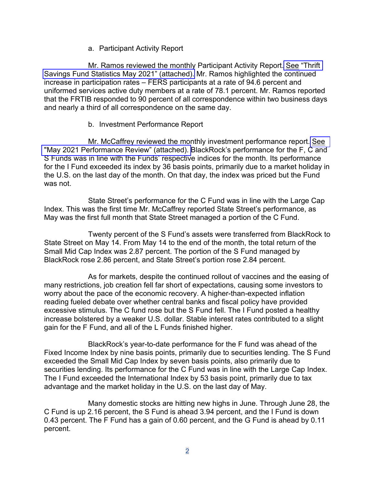### a. Participant Activity Report

Mr. Ramos reviewed the monthly Participant Activity Report. See ["Thrift](https://www.frtib.gov/pdf/minutes/2021/June/MM-2021June-Att1.pdf) [Savings Fund Statistics May 2021" \(attached\).](https://www.frtib.gov/pdf/minutes/2021/June/MM-2021June-Att1.pdf) Mr. Ramos highlighted the continued increase in participation rates – FERS participants at a rate of 94.6 percent and uniformed services active duty members at a rate of 78.1 percent. Mr. Ramos reported that the FRTIB responded to 90 percent of all correspondence within two business days and nearly a third of all correspondence on the same day.

### b. Investment Performance Report

Mr. McCaffrey reviewed the monthly investment performance report. [See](https://www.frtib.gov/pdf/minutes/2021/June/MM-2021June-Att2.pdf) ["May 2021 Performance Review" \(attached\). B](https://www.frtib.gov/pdf/minutes/2021/June/MM-2021June-Att2.pdf)lackRock's performance for the F, C and S Funds was in line with the Funds' respective indices for the month. Its performance for the I Fund exceeded its index by 36 basis points, primarily due to a market holiday in the U.S. on the last day of the month. On that day, the index was priced but the Fund was not.

State Street's performance for the C Fund was in line with the Large Cap Index. This was the first time Mr. McCaffrey reported State Street's performance, as May was the first full month that State Street managed a portion of the C Fund.

Twenty percent of the S Fund's assets were transferred from BlackRock to State Street on May 14. From May 14 to the end of the month, the total return of the Small Mid Cap Index was 2.87 percent. The portion of the S Fund managed by BlackRock rose 2.86 percent, and State Street's portion rose 2.84 percent.

As for markets, despite the continued rollout of vaccines and the easing of many restrictions, job creation fell far short of expectations, causing some investors to worry about the pace of the economic recovery. A higher-than-expected inflation reading fueled debate over whether central banks and fiscal policy have provided excessive stimulus. The C fund rose but the S Fund fell. The I Fund posted a healthy increase bolstered by a weaker U.S. dollar. Stable interest rates contributed to a slight gain for the F Fund, and all of the L Funds finished higher.

BlackRock's year-to-date performance for the F fund was ahead of the Fixed Income Index by nine basis points, primarily due to securities lending. The S Fund exceeded the Small Mid Cap Index by seven basis points, also primarily due to securities lending. Its performance for the C Fund was in line with the Large Cap Index. The I Fund exceeded the International Index by 53 basis point, primarily due to tax advantage and the market holiday in the U.S. on the last day of May.

Many domestic stocks are hitting new highs in June. Through June 28, the C Fund is up 2.16 percent, the S Fund is ahead 3.94 percent, and the I Fund is down 0.43 percent. The F Fund has a gain of 0.60 percent, and the G Fund is ahead by 0.11 percent.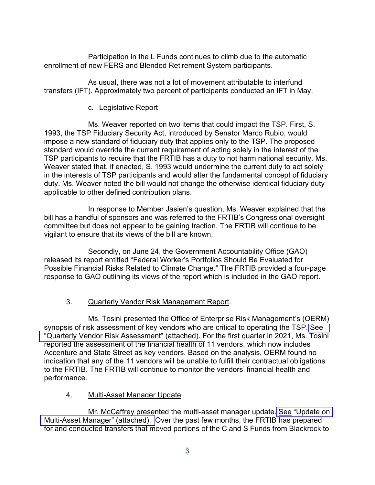Participation in the L Funds continues to climb due to the automatic enrollment of new FERS and Blended Retirement System participants.

As usual, there was not a lot of movement attributable to interfund transfers (IFT). Approximately two percent of participants conducted an IFT in May.

# c. Legislative Report

Ms. Weaver reported on two items that could impact the TSP. First, S. 1993, the TSP Fiduciary Security Act, introduced by Senator Marco Rubio, would impose a new standard of fiduciary duty that applies only to the TSP. The proposed standard would override the current requirement of acting solely in the interest of the TSP participants to require that the FRTIB has a duty to not harm national security. Ms. Weaver stated that, if enacted, S. 1993 would undermine the current duty to act solely in the interests of TSP participants and would alter the fundamental concept of fiduciary duty. Ms. Weaver noted the bill would not change the otherwise identical fiduciary duty applicable to other defined contribution plans.

In response to Member Jasien's question, Ms. Weaver explained that the bill has a handful of sponsors and was referred to the FRTIB's Congressional oversight committee but does not appear to be gaining traction. The FRTIB will continue to be vigilant to ensure that its views of the bill are known.

Secondly, on June 24, the Government Accountability Office (GAO) released its report entitled "Federal Worker's Portfolios Should Be Evaluated for Possible Financial Risks Related to Climate Change." The FRTIB provided a four-page response to GAO outlining its views of the report which is included in the GAO report.

# 3. Quarterly Vendor Risk Management Report.

Ms. Tosini presented the Office of Enterprise Risk Management's (OERM) synopsis of risk assessment of key vendors who are critical to operating the TSP. [See](https://www.frtib.gov/pdf/minutes/2021/June/MM-2021June-Att3.pdf) ["Quarterly Vendor Risk Assessment" \(attached\). F](https://www.frtib.gov/pdf/minutes/2021/June/MM-2021June-Att3.pdf)or the first quarter in 2021, Ms. Tosini reported the assessment of the financial health of 11 vendors, which now includes Accenture and State Street as key vendors. Based on the analysis, OERM found no indication that any of the 11 vendors will be unable to fulfill their contractual obligations to the FRTIB. The FRTIB will continue to monitor the vendors' financial health and performance.

### 4. Multi-Asset Manager Update

Mr. McCaffrey presented the multi-asset manager update. See ["Update on](https://www.frtib.gov/pdf/minutes/2021/June/MM-2021June-Att4.pdf) [Multi-Asset Manager" \(attached\).](https://www.frtib.gov/pdf/minutes/2021/June/MM-2021June-Att4.pdf) Over the past few months, the FRTIB has prepared for and conducted transfers that moved portions of the C and S Funds from Blackrock to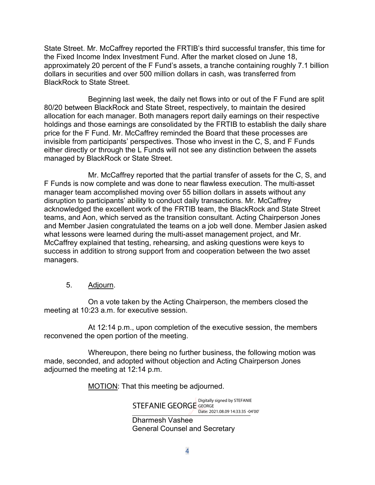State Street. Mr. McCaffrey reported the FRTIB's third successful transfer, this time for the Fixed Income Index Investment Fund. After the market closed on June 18, approximately 20 percent of the F Fund's assets, a tranche containing roughly 7.1 billion dollars in securities and over 500 million dollars in cash, was transferred from BlackRock to State Street.

Beginning last week, the daily net flows into or out of the F Fund are split 80/20 between BlackRock and State Street, respectively, to maintain the desired allocation for each manager. Both managers report daily earnings on their respective holdings and those earnings are consolidated by the FRTIB to establish the daily share price for the F Fund. Mr. McCaffrey reminded the Board that these processes are invisible from participants' perspectives. Those who invest in the C, S, and F Funds either directly or through the L Funds will not see any distinction between the assets managed by BlackRock or State Street.

Mr. McCaffrey reported that the partial transfer of assets for the C, S, and F Funds is now complete and was done to near flawless execution. The multi-asset manager team accomplished moving over 55 billion dollars in assets without any disruption to participants' ability to conduct daily transactions. Mr. McCaffrey acknowledged the excellent work of the FRTIB team, the BlackRock and State Street teams, and Aon, which served as the transition consultant. Acting Chairperson Jones and Member Jasien congratulated the teams on a job well done. Member Jasien asked what lessons were learned during the multi-asset management project, and Mr. McCaffrey explained that testing, rehearsing, and asking questions were keys to success in addition to strong support from and cooperation between the two asset managers.

### 5. Adjourn.

On a vote taken by the Acting Chairperson, the members closed the meeting at 10:23 a.m. for executive session.

At 12:14 p.m., upon completion of the executive session, the members reconvened the open portion of the meeting.

Whereupon, there being no further business, the following motion was made, seconded, and adopted without objection and Acting Chairperson Jones adjourned the meeting at 12:14 p.m.

MOTION: That this meeting be adjourned.

Dharmesh Vashee Digitally signed by STEFANIE<br>STEFANIE GEORGE GEORGE Date: 2021.08.09 14:33:35 -04'00'

General Counsel and Secretary